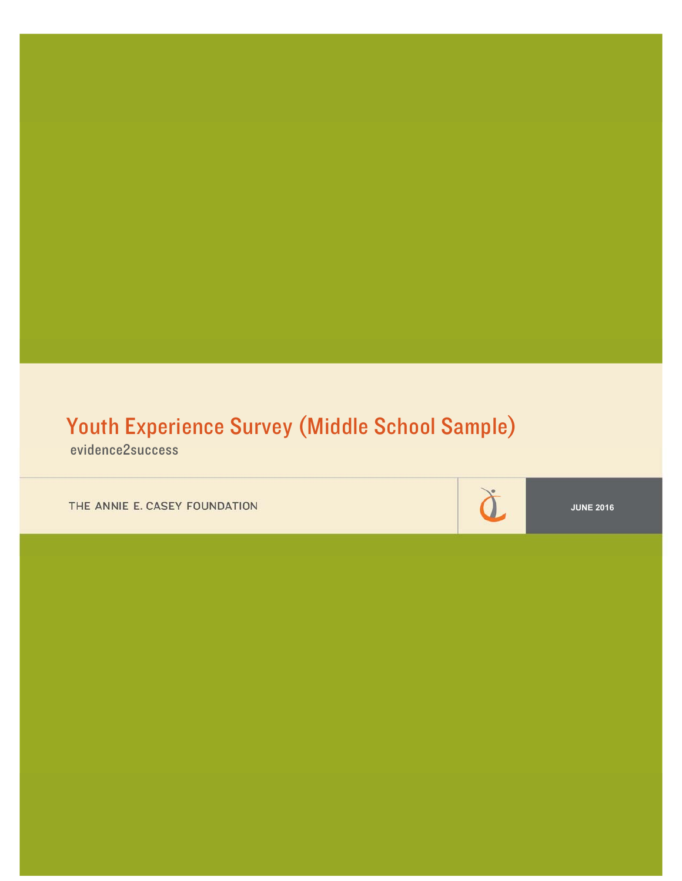# Youth Experience Survey (Middle School Sample)

evidence2success

THE ANNIE E. CASEY FOUNDATION

**JUNE 2016** 

à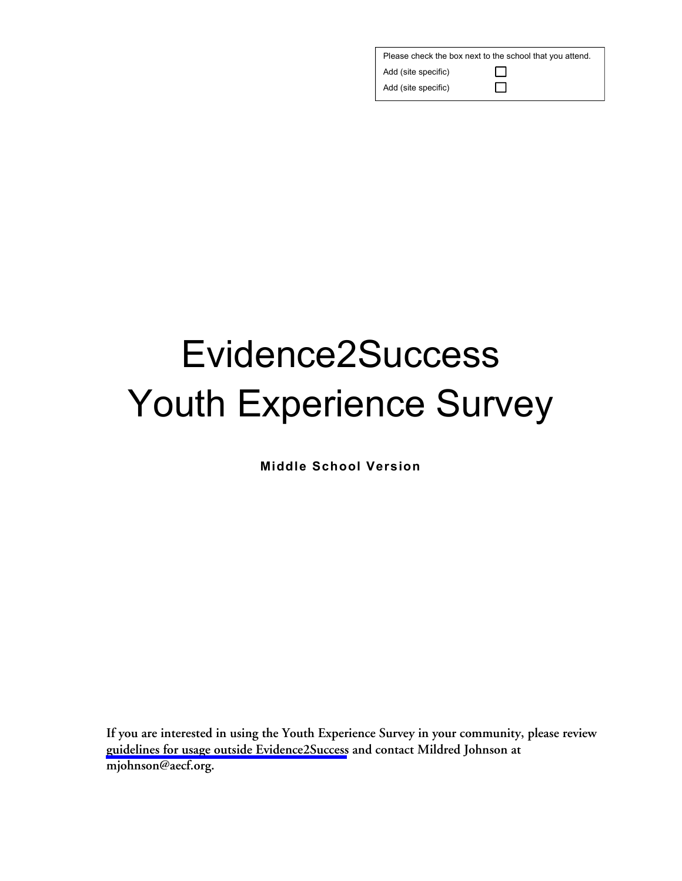| Please check the box next to the school that you attend. |              |  |  |  |  |
|----------------------------------------------------------|--------------|--|--|--|--|
| Add (site specific)                                      | $\mathbf{L}$ |  |  |  |  |
| Add (site specific)                                      | $\mathbf{L}$ |  |  |  |  |

# Evidence2Success Youth Experience Survey

**Middle School Version** 

**If you are interested in using the Youth Experience Survey in your community, please review [guidelines for usage outside Evidence2Success](http://www.aecf.org/m/blogdoc/aecf-yesoutsidee2s-2016.pdf) and contact Mildred Johnson at mjohnson@aecf.org.**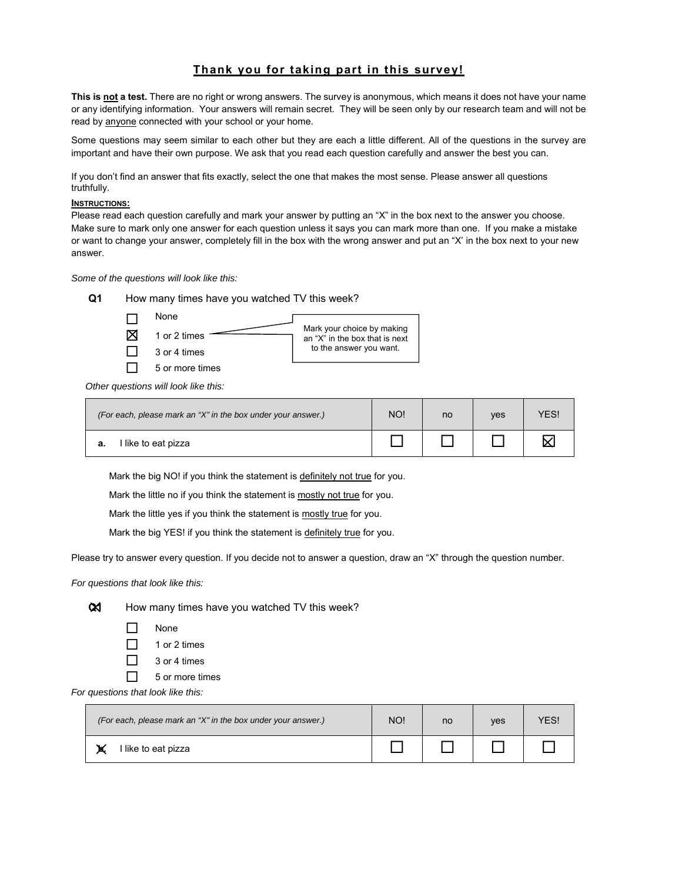# **Thank you for taking part in this survey!**

**This is not a test.** There are no right or wrong answers. The survey is anonymous, which means it does not have your name or any identifying information. Your answers will remain secret. They will be seen only by our research team and will not be read by anyone connected with your school or your home.

Some questions may seem similar to each other but they are each a little different. All of the questions in the survey are important and have their own purpose. We ask that you read each question carefully and answer the best you can.

If you don't find an answer that fits exactly, select the one that makes the most sense. Please answer all questions truthfully.

# **INSTRUCTIONS:**

Please read each question carefully and mark your answer by putting an "X" in the box next to the answer you choose. Make sure to mark only one answer for each question unless it says you can mark more than one. If you make a mistake or want to change your answer, completely fill in the box with the wrong answer and put an "X' in the box next to your new answer.

*Some of the questions will look like this:* 

**Q1** How many times have you watched TV this week?  $\Box$  None  $\boxtimes$  1 or 2 times  $\Box$  3 or 4 times  $\Box$  5 or more times Mark your choice by making an "X" in the box that is next to the answer you want.

*Other questions will look like this:* 

| (For each, please mark an "X" in the box under your answer.) |  | no | <b>ves</b> | <b>ES!</b> |
|--------------------------------------------------------------|--|----|------------|------------|
| l like to eat pizza                                          |  |    |            |            |

Mark the big NO! if you think the statement is definitely not true for you.

Mark the little no if you think the statement is mostly not true for you.

Mark the little yes if you think the statement is mostly true for you.

Mark the big YES! if you think the statement is definitely true for you.

Please try to answer every question. If you decide not to answer a question, draw an "X" through the question number.

*For questions that look like this:* 



**Q1** How many times have you watched TV this week?

- None
- $\Box$  1 or 2 times
- $\Box$  3 or 4 times
- $\Box$  5 or more times

*For questions that look like this:* 

| (For each, please mark an "X" in the box under your answer.) | NO! | no | ves | ΈS |
|--------------------------------------------------------------|-----|----|-----|----|
| I like to eat pizza                                          |     |    |     |    |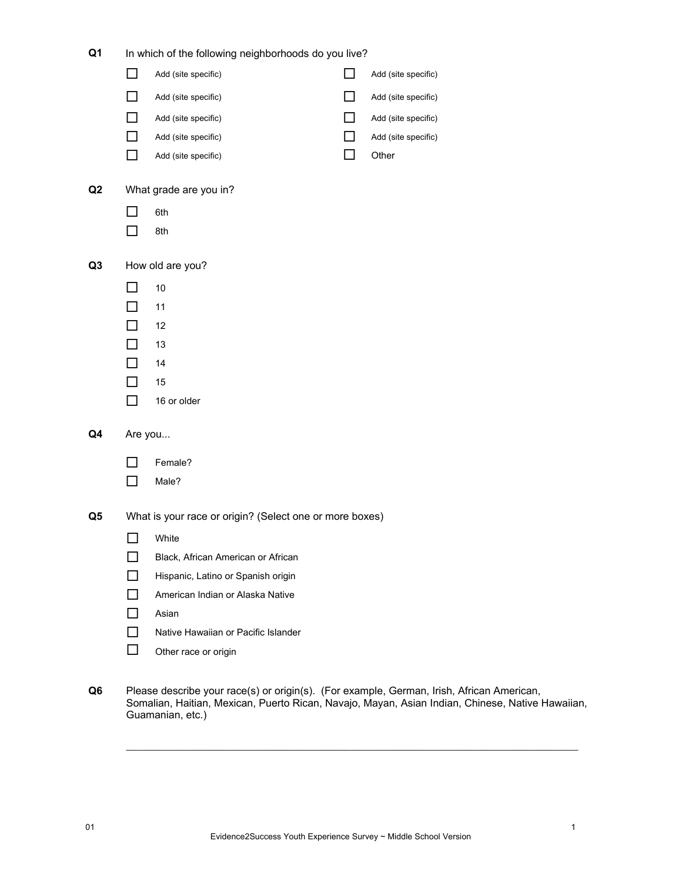| Q1             | In which of the following neighborhoods do you live? |                                                         |  |                     |  |  |  |
|----------------|------------------------------------------------------|---------------------------------------------------------|--|---------------------|--|--|--|
|                | ΙI                                                   | Add (site specific)                                     |  | Add (site specific) |  |  |  |
|                |                                                      | Add (site specific)                                     |  | Add (site specific) |  |  |  |
|                | П                                                    | Add (site specific)                                     |  | Add (site specific) |  |  |  |
|                | П                                                    | Add (site specific)                                     |  | Add (site specific) |  |  |  |
|                |                                                      | Add (site specific)                                     |  | Other               |  |  |  |
| Q <sub>2</sub> |                                                      | What grade are you in?                                  |  |                     |  |  |  |
|                | $\mathsf{L}$                                         | 6th                                                     |  |                     |  |  |  |
|                | □                                                    | 8th                                                     |  |                     |  |  |  |
| Q <sub>3</sub> |                                                      | How old are you?                                        |  |                     |  |  |  |
|                | $\mathsf{L}$                                         | 10                                                      |  |                     |  |  |  |
|                | $\mathsf{L}$                                         | 11                                                      |  |                     |  |  |  |
|                | П                                                    | 12                                                      |  |                     |  |  |  |
|                | ΙI                                                   | 13                                                      |  |                     |  |  |  |
|                | п                                                    | 14                                                      |  |                     |  |  |  |
|                | П                                                    | 15                                                      |  |                     |  |  |  |
|                | П                                                    | 16 or older                                             |  |                     |  |  |  |
| Q4             | Are you                                              |                                                         |  |                     |  |  |  |
|                |                                                      | Female?                                                 |  |                     |  |  |  |
|                | $\mathsf{L}$                                         | Male?                                                   |  |                     |  |  |  |
| Q5             |                                                      | What is your race or origin? (Select one or more boxes) |  |                     |  |  |  |
|                | $\overline{\phantom{a}}$                             | White                                                   |  |                     |  |  |  |
|                |                                                      | Black, African American or African                      |  |                     |  |  |  |
|                |                                                      | Hispanic, Latino or Spanish origin                      |  |                     |  |  |  |
|                | П                                                    | American Indian or Alaska Native                        |  |                     |  |  |  |
|                | П                                                    | Asian                                                   |  |                     |  |  |  |
|                | ΙI                                                   | Native Hawaiian or Pacific Islander                     |  |                     |  |  |  |
|                | П                                                    | Other race or origin                                    |  |                     |  |  |  |
|                |                                                      |                                                         |  |                     |  |  |  |

**Q6** Please describe your race(s) or origin(s). (For example, German, Irish, African American, Somalian, Haitian, Mexican, Puerto Rican, Navajo, Mayan, Asian Indian, Chinese, Native Hawaiian, Guamanian, etc.)

 $\ldots$  . The contribution of the contribution of the contribution of the contribution of the contribution of the contribution of the contribution of the contribution of the contribution of the contribution of the contribut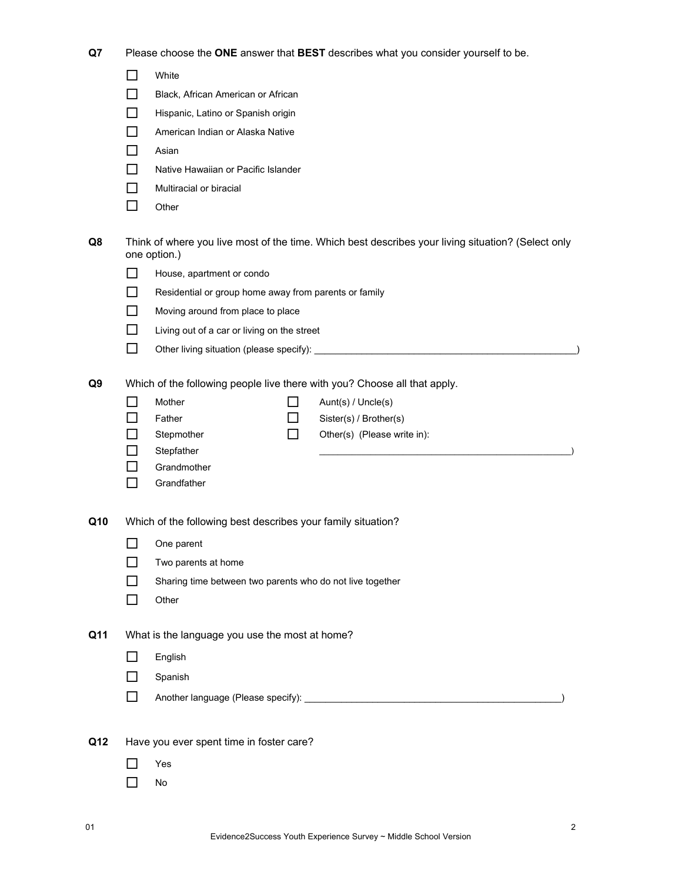**Q7** Please choose the **ONE** answer that **BEST** describes what you consider yourself to be.

|     | H              | White                                                        |     |                                                                                                    |
|-----|----------------|--------------------------------------------------------------|-----|----------------------------------------------------------------------------------------------------|
|     |                | Black, African American or African                           |     |                                                                                                    |
|     |                | Hispanic, Latino or Spanish origin                           |     |                                                                                                    |
|     |                | American Indian or Alaska Native                             |     |                                                                                                    |
|     |                | Asian                                                        |     |                                                                                                    |
|     |                | Native Hawaiian or Pacific Islander                          |     |                                                                                                    |
|     |                | Multiracial or biracial                                      |     |                                                                                                    |
|     | ΙI             | Other                                                        |     |                                                                                                    |
| Q8  |                | one option.)                                                 |     | Think of where you live most of the time. Which best describes your living situation? (Select only |
|     |                | House, apartment or condo                                    |     |                                                                                                    |
|     |                | Residential or group home away from parents or family        |     |                                                                                                    |
|     |                | Moving around from place to place                            |     |                                                                                                    |
|     |                | Living out of a car or living on the street                  |     |                                                                                                    |
|     | LΙ             |                                                              |     |                                                                                                    |
| Q9  |                |                                                              |     | Which of the following people live there with you? Choose all that apply.                          |
|     |                | Mother                                                       |     | Aunt(s) / Uncle(s)                                                                                 |
|     |                | Father                                                       | l I | Sister(s) / Brother(s)                                                                             |
|     |                | Stepmother                                                   | ΙI  | Other(s) (Please write in):                                                                        |
|     |                | Stepfather                                                   |     |                                                                                                    |
|     |                | Grandmother                                                  |     |                                                                                                    |
|     |                | Grandfather                                                  |     |                                                                                                    |
| Q10 |                | Which of the following best describes your family situation? |     |                                                                                                    |
|     |                | One parent                                                   |     |                                                                                                    |
|     |                | Two parents at home                                          |     |                                                                                                    |
|     |                | Sharing time between two parents who do not live together    |     |                                                                                                    |
|     |                | Other                                                        |     |                                                                                                    |
| Q11 |                | What is the language you use the most at home?               |     |                                                                                                    |
|     |                | English                                                      |     |                                                                                                    |
|     |                | Spanish                                                      |     |                                                                                                    |
|     |                |                                                              |     |                                                                                                    |
|     | $\blacksquare$ |                                                              |     |                                                                                                    |
| Q12 |                | Have you ever spent time in foster care?                     |     |                                                                                                    |
|     |                | Yes                                                          |     |                                                                                                    |
|     |                | No                                                           |     |                                                                                                    |
|     |                |                                                              |     |                                                                                                    |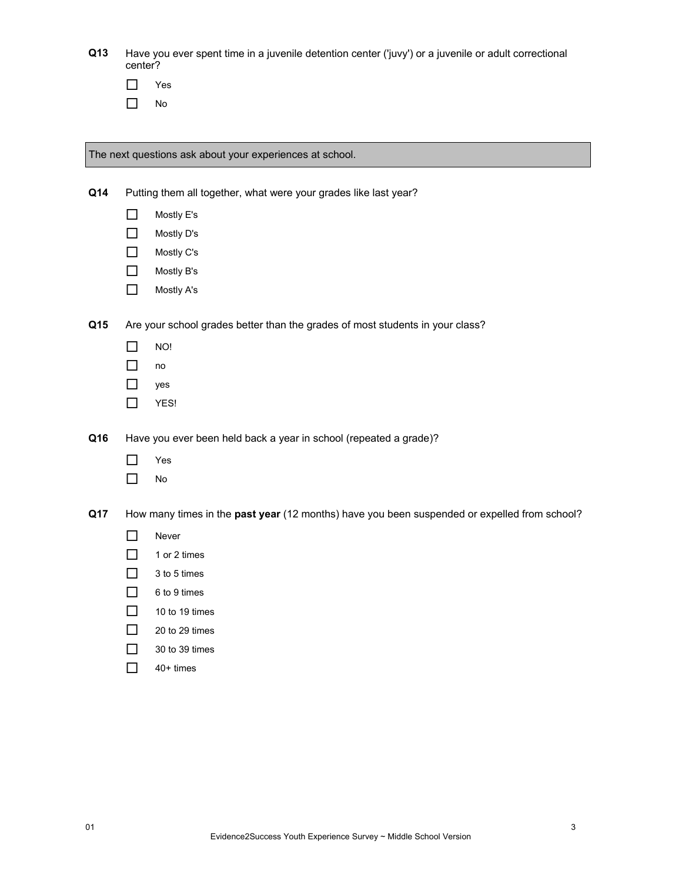| Q13 | Have you ever spent time in a juvenile detention center ('juvy') or a juvenile or adult correctional |
|-----|------------------------------------------------------------------------------------------------------|
|     | center?                                                                                              |

| es. |
|-----|
| N٥  |

The next questions ask about your experiences at school.

**Q14** Putting them all together, what were your grades like last year?

- Mostly E's
- Mostly D's
- □ Mostly C's
- Mostly B's
- Mostly A's

**Q15** Are your school grades better than the grades of most students in your class?

- $\Box$  NO!
- $\Box$  no
- yes
- $\Box$  YES!

**Q16** Have you ever been held back a year in school (repeated a grade)?

- Yes
- No

**Q17** How many times in the **past year** (12 months) have you been suspended or expelled from school?

- Never
- $\Box$  1 or 2 times
- $\Box$  3 to 5 times
- □ 6 to 9 times
- $\Box$  10 to 19 times
- $\Box$  20 to 29 times
- $\Box$  30 to 39 times
- $\Box$  40+ times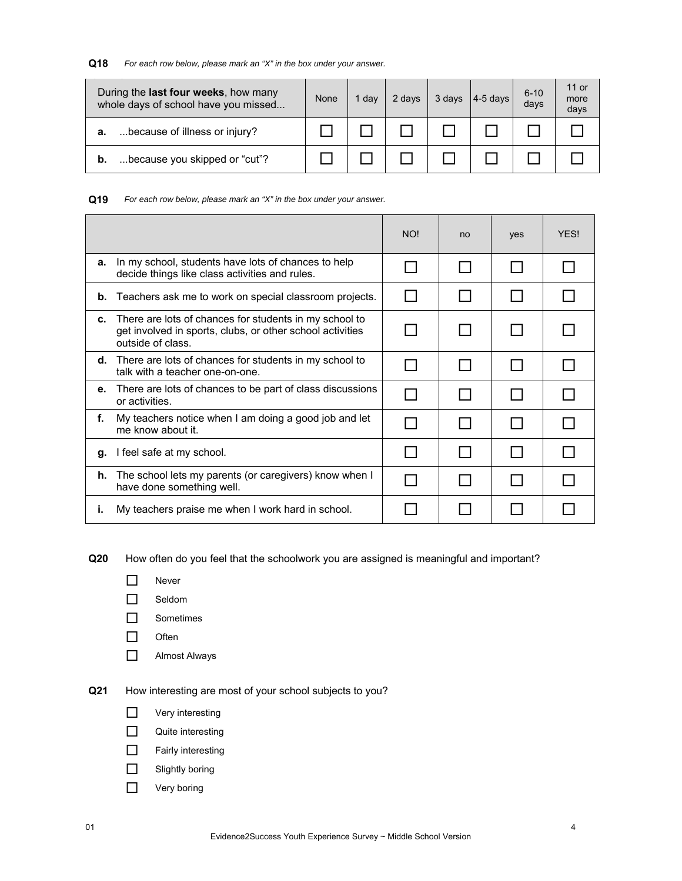# **Q18** *For each row below, please mark an "X" in the box under your answer.*

| During the <b>last four weeks</b> , how many<br>whole days of school have you missed | None | 1 dav | 2 days | 3 days | $4-5$ days | $6 - 10$<br>days | 11 or<br>more<br>days |
|--------------------------------------------------------------------------------------|------|-------|--------|--------|------------|------------------|-----------------------|
| because of illness or injury?<br>а.                                                  |      |       |        |        |            |                  |                       |
| because you skipped or "cut"?                                                        |      |       |        |        |            |                  |                       |

#### **Q19** *For each row below, please mark an "X" in the box under your answer.*

|    |                                                                                                                                          | NO! | no | yes | <b>YFS!</b> |
|----|------------------------------------------------------------------------------------------------------------------------------------------|-----|----|-----|-------------|
| а. | In my school, students have lots of chances to help<br>decide things like class activities and rules.                                    |     |    |     |             |
| b. | Teachers ask me to work on special classroom projects.                                                                                   |     |    |     |             |
| c. | There are lots of chances for students in my school to<br>get involved in sports, clubs, or other school activities<br>outside of class. |     |    |     |             |
| d. | There are lots of chances for students in my school to<br>talk with a teacher one-on-one.                                                |     |    |     |             |
| е. | There are lots of chances to be part of class discussions<br>or activities.                                                              |     |    |     |             |
| f. | My teachers notice when I am doing a good job and let<br>me know about it.                                                               |     |    |     |             |
| g. | I feel safe at my school.                                                                                                                |     |    |     |             |
| h. | The school lets my parents (or caregivers) know when I<br>have done something well.                                                      |     |    |     |             |
| т. | My teachers praise me when I work hard in school.                                                                                        |     |    |     |             |

**Q20** How often do you feel that the schoolwork you are assigned is meaningful and important?

- Never
- □ Seldom
- □ Sometimes
- $\Box$  Often
- Almost Always

# **Q21** How interesting are most of your school subjects to you?

- **D** Very interesting
- **Quite interesting**
- **T** Fairly interesting
- $\Box$  Slightly boring
- **D** Very boring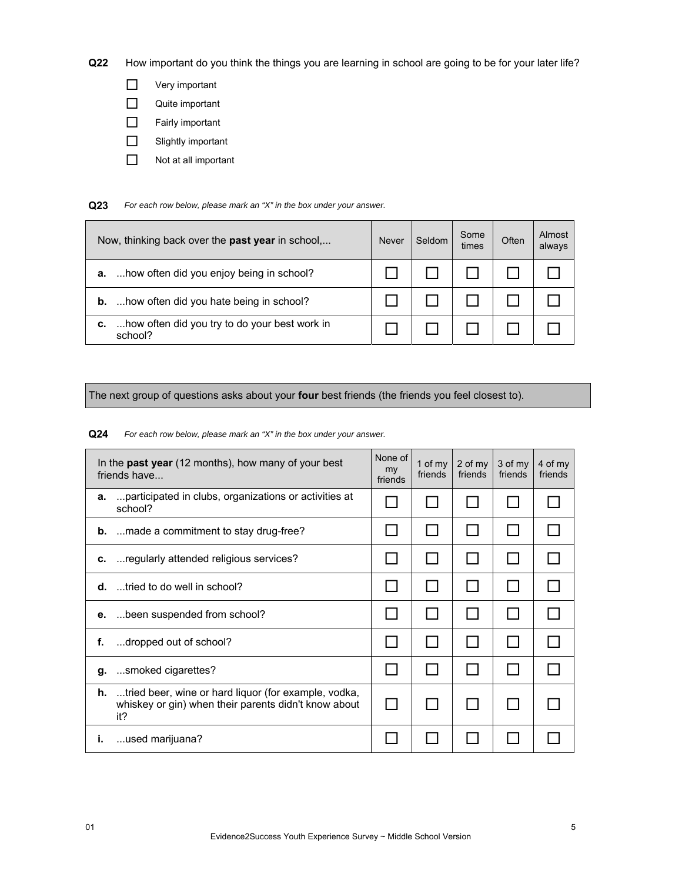**Q22** How important do you think the things you are learning in school are going to be for your later life?

- **D** Very important
- Quite important
- Fairly important
- Slightly important
- Not at all important

**Q23** *For each row below, please mark an "X" in the box under your answer.*

| Now, thinking back over the <b>past year</b> in school,        | <b>Never</b> | Seldom | Some<br>times | Often | Almost<br>always |
|----------------------------------------------------------------|--------------|--------|---------------|-------|------------------|
| how often did you enjoy being in school?<br>а.                 |              |        |               |       |                  |
| how often did you hate being in school?<br>b.                  |              |        |               |       |                  |
| how often did you try to do your best work in<br>с.<br>school? |              |        |               |       |                  |

The next group of questions asks about your **four** best friends (the friends you feel closest to).

**Q24** *For each row below, please mark an "X" in the box under your answer.*

| In the <b>past year</b> (12 months), how many of your best<br>friends have                                                    | None of<br>my<br>friends | 1 of $my$<br>friends | 2 of my<br>friends | 3 of my<br>friends | 4 of my<br>friends |
|-------------------------------------------------------------------------------------------------------------------------------|--------------------------|----------------------|--------------------|--------------------|--------------------|
| participated in clubs, organizations or activities at<br>а.<br>school?                                                        |                          |                      |                    |                    |                    |
| <b>b.</b> made a commitment to stay drug-free?                                                                                |                          |                      |                    |                    |                    |
| regularly attended religious services?<br>c.                                                                                  |                          |                      |                    |                    |                    |
| tried to do well in school?<br>d.                                                                                             |                          |                      |                    |                    |                    |
| been suspended from school?<br>е.                                                                                             |                          |                      |                    |                    |                    |
| dropped out of school?<br>f.                                                                                                  |                          |                      |                    |                    |                    |
| smoked cigarettes?<br>g.                                                                                                      |                          |                      |                    |                    |                    |
| <b>h.</b> tried beer, wine or hard liquor (for example, vodka,<br>whiskey or gin) when their parents didn't know about<br>it? |                          |                      |                    |                    |                    |
| used marijuana?<br>Ť.                                                                                                         |                          |                      |                    |                    |                    |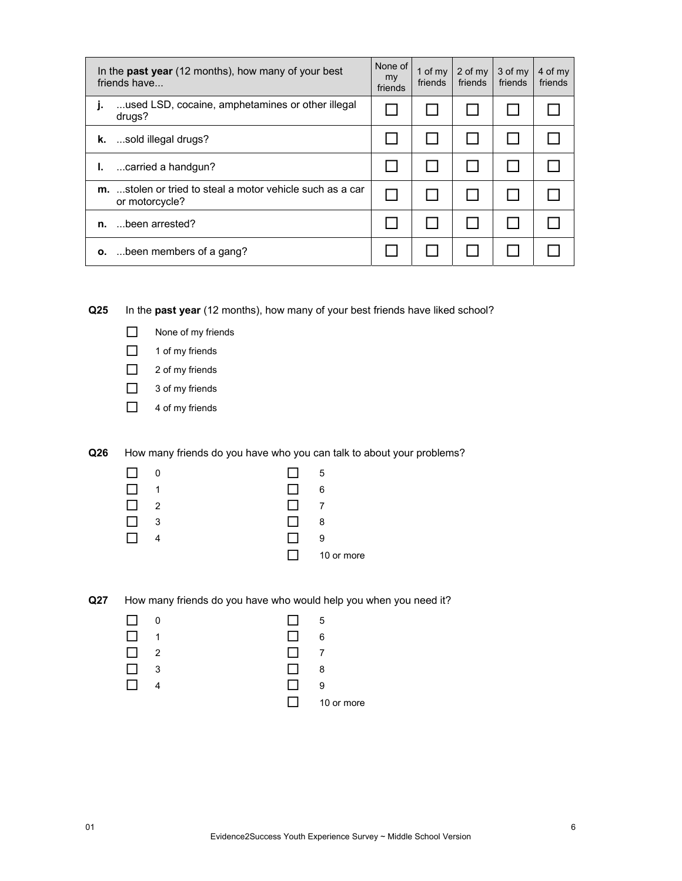|    | In the <b>past year</b> (12 months), how many of your best<br>friends have | None of<br>my<br>friends | 1 of $my$<br>friends | 2 of my<br>friends | 3 of my<br>friends | 4 of my<br>friends |
|----|----------------------------------------------------------------------------|--------------------------|----------------------|--------------------|--------------------|--------------------|
| j. | used LSD, cocaine, amphetamines or other illegal<br>drugs?                 |                          |                      |                    |                    |                    |
| k. | sold illegal drugs?                                                        |                          |                      |                    |                    |                    |
| Ъ. | carried a handgun?                                                         |                          |                      |                    |                    |                    |
| m. | stolen or tried to steal a motor vehicle such as a car<br>or motorcycle?   |                          |                      |                    |                    |                    |
| n. | been arrested?                                                             |                          |                      |                    |                    |                    |
|    | <b>o.</b> been members of a gang?                                          |                          |                      |                    |                    |                    |

**Q25** In the **past year** (12 months), how many of your best friends have liked school?



- $\Box$  1 of my friends
- □ 2 of my friends
- □ 3 of my friends
- $\Box$  4 of my friends

**Q26** How many friends do you have who you can talk to about your problems?

| . .          | - 0            |              | 5          |
|--------------|----------------|--------------|------------|
|              | 1              | - 1          | 6          |
| $\mathsf{L}$ | $\overline{2}$ | - 1          | 7          |
|              | 3              | $\mathbf{I}$ | 8          |
|              |                |              | 9          |
|              |                | I I          | 10 or more |

**Q27** How many friends do you have who would help you when you need it?

| $\mathsf{L}$ | 0 | $\Box$       | - 5        |
|--------------|---|--------------|------------|
|              | 1 | $\mathsf{L}$ | 6          |
|              | 2 | $\mathsf{L}$ | 7          |
|              | 3 | $\mathsf{L}$ | 8          |
|              |   |              | 9          |
|              |   | тJ.          | 10 or more |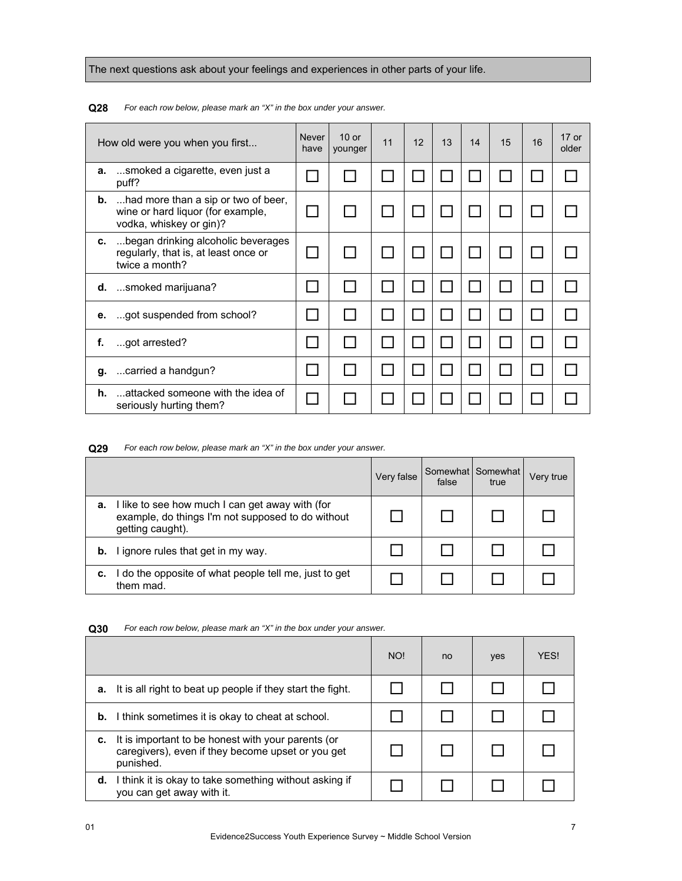The next questions ask about your feelings and experiences in other parts of your life.

|    | How old were you when you first                                                                               | <b>Never</b><br>have | $10$ or<br>younger | 11 | 12 | 13 | 14 | 15 | 16 | $17$ or<br>older |
|----|---------------------------------------------------------------------------------------------------------------|----------------------|--------------------|----|----|----|----|----|----|------------------|
| a. | smoked a cigarette, even just a<br>puff?                                                                      |                      |                    |    |    |    |    |    |    |                  |
|    | <b>b.</b> had more than a sip or two of beer,<br>wine or hard liquor (for example,<br>vodka, whiskey or gin)? |                      |                    |    |    |    |    |    |    |                  |
| c. | began drinking alcoholic beverages<br>regularly, that is, at least once or<br>twice a month?                  |                      |                    |    |    |    |    |    |    |                  |
|    | $d.$ smoked marijuana?                                                                                        |                      |                    |    |    |    |    |    |    |                  |
| е. | got suspended from school?                                                                                    |                      |                    |    |    |    |    |    |    |                  |
| f. | got arrested?                                                                                                 |                      |                    |    |    |    |    |    |    |                  |
|    | g. carried a handgun?                                                                                         |                      |                    |    |    |    |    |    |    |                  |
| h. | attacked someone with the idea of<br>seriously hurting them?                                                  |                      |                    |    |    |    |    |    |    |                  |

**Q28** *For each row below, please mark an "X" in the box under your answer.* 

**Q29** *For each row below, please mark an "X" in the box under your answer.* 

|    |                                                                                                                          | Very false | false | Somewhat Somewhat<br>true | Very true |
|----|--------------------------------------------------------------------------------------------------------------------------|------------|-------|---------------------------|-----------|
| a. | I like to see how much I can get away with (for<br>example, do things I'm not supposed to do without<br>getting caught). |            |       |                           |           |
| b. | I ignore rules that get in my way.                                                                                       |            |       |                           |           |
| с. | I do the opposite of what people tell me, just to get<br>them mad.                                                       |            |       |                           |           |

|    |                                                                                                                      | NO! | no | yes | <b>YFS!</b> |
|----|----------------------------------------------------------------------------------------------------------------------|-----|----|-----|-------------|
| а. | It is all right to beat up people if they start the fight.                                                           |     |    |     |             |
|    | <b>b.</b> I think sometimes it is okay to cheat at school.                                                           |     |    |     |             |
| c. | It is important to be honest with your parents (or<br>caregivers), even if they become upset or you get<br>punished. |     |    |     |             |
| d. | I think it is okay to take something without asking if<br>you can get away with it.                                  |     |    |     |             |

**Q30** *For each row below, please mark an "X" in the box under your answer.*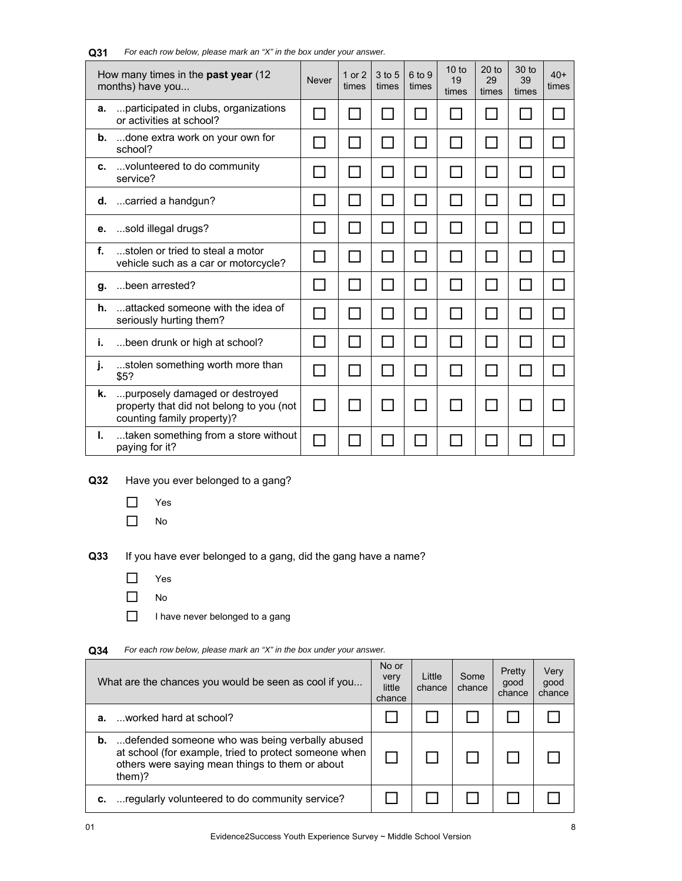|    | How many times in the past year (12)<br>months) have you                                                 | <b>Never</b>   | 1 or $2$<br>times | 3 to 5<br>times | 6 to 9<br>times | 10 to<br>19<br>times | 20 <sub>to</sub><br>29<br>times | 30 to<br>39<br>times | $40+$<br>times |
|----|----------------------------------------------------------------------------------------------------------|----------------|-------------------|-----------------|-----------------|----------------------|---------------------------------|----------------------|----------------|
| а. | participated in clubs, organizations<br>or activities at school?                                         |                |                   |                 |                 |                      |                                 |                      |                |
| b. | done extra work on your own for<br>school?                                                               |                |                   |                 |                 |                      |                                 |                      |                |
| c. | volunteered to do community<br>service?                                                                  |                |                   |                 |                 |                      |                                 |                      |                |
| d. | carried a handgun?                                                                                       |                |                   | $\mathsf{L}$    |                 | ΙI                   | $\mathsf{L}$                    |                      |                |
| е. | sold illegal drugs?                                                                                      |                |                   |                 |                 |                      |                                 |                      |                |
| f. | stolen or tried to steal a motor<br>vehicle such as a car or motorcycle?                                 | $\mathcal{L}$  | $\mathbf{I}$      | $\sim$          | <b>Contract</b> | H                    |                                 |                      |                |
| g. | been arrested?                                                                                           | l. I           |                   | $\blacksquare$  |                 | l I                  | $\mathsf{L}$                    |                      |                |
| h. | attacked someone with the idea of<br>seriously hurting them?                                             |                |                   |                 |                 |                      |                                 |                      |                |
| j. | been drunk or high at school?                                                                            | $\sim$         |                   |                 |                 | $\mathbf{I}$         |                                 |                      |                |
| j. | stolen something worth more than<br>\$5?                                                                 | $\blacksquare$ |                   |                 |                 | H                    | $\mathsf{L}$                    |                      |                |
| k. | purposely damaged or destroyed<br>property that did not belong to you (not<br>counting family property)? | $\blacksquare$ |                   |                 |                 |                      |                                 |                      |                |
| L. | taken something from a store without<br>paying for it?                                                   |                |                   |                 |                 |                      |                                 |                      |                |

#### **Q31** *For each row below, please mark an "X" in the box under your answer.*

**Q32** Have you ever belonged to a gang?

- □ Yes
- $\Box$  No

**Q33** If you have ever belonged to a gang, did the gang have a name?

- Yes
- $\Box$  No
- $\Box$  I have never belonged to a gang

# **Q34** *For each row below, please mark an "X" in the box under your answer.*

|    | What are the chances you would be seen as cool if you                                                                                                                          | No or<br>very<br>little<br>chance | Little<br>chance | Some<br>chance | Pretty<br>good<br>chance | Very<br>qood<br>chance |
|----|--------------------------------------------------------------------------------------------------------------------------------------------------------------------------------|-----------------------------------|------------------|----------------|--------------------------|------------------------|
|    | <b>a.</b> worked hard at school?                                                                                                                                               |                                   |                  |                |                          |                        |
|    | <b>b.</b> defended someone who was being verbally abused<br>at school (for example, tried to protect someone when<br>others were saying mean things to them or about<br>them)? |                                   |                  |                |                          |                        |
| с. | regularly volunteered to do community service?                                                                                                                                 |                                   |                  |                |                          |                        |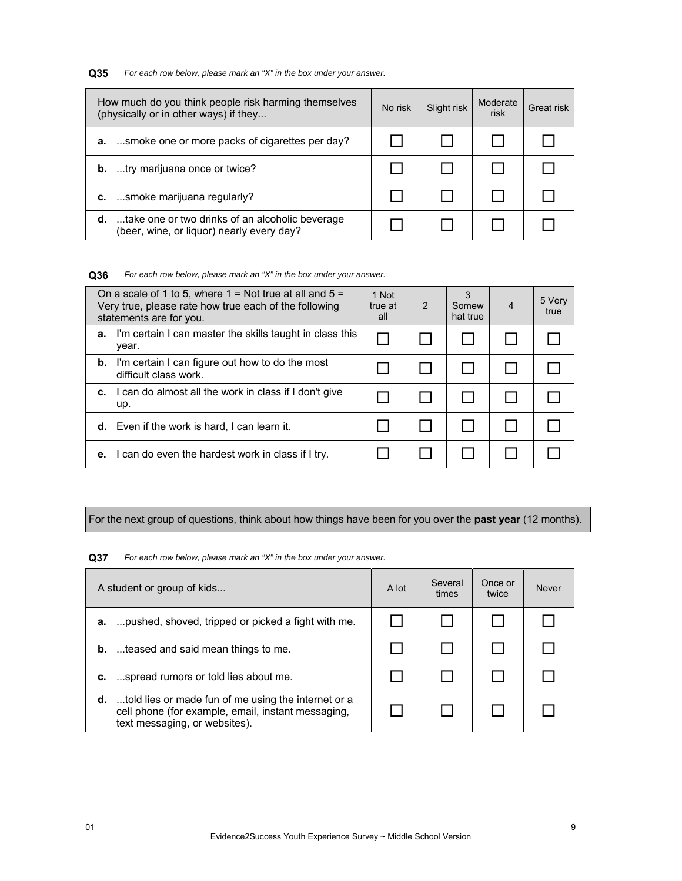**Q35** *For each row below, please mark an "X" in the box under your answer.*

|    | How much do you think people risk harming themselves<br>(physically or in other ways) if they          | No risk | Slight risk | Moderate<br>risk | Great risk |
|----|--------------------------------------------------------------------------------------------------------|---------|-------------|------------------|------------|
|    | <b>a.</b> smoke one or more packs of cigarettes per day?                                               |         |             |                  |            |
| b. | try marijuana once or twice?                                                                           |         |             |                  |            |
|    | smoke marijuana regularly?                                                                             |         |             |                  |            |
|    | <b>d.</b> take one or two drinks of an alcoholic beverage<br>(beer, wine, or liquor) nearly every day? |         |             |                  |            |

**Q36** *For each row below, please mark an "X" in the box under your answer.*

| On a scale of 1 to 5, where $1 =$ Not true at all and $5 =$<br>Very true, please rate how true each of the following<br>statements are for you. | 1 Not<br>true at<br>all | $\mathcal{P}$ | Somew<br>hat true | $\overline{4}$ | 5 Very<br>true |
|-------------------------------------------------------------------------------------------------------------------------------------------------|-------------------------|---------------|-------------------|----------------|----------------|
| I'm certain I can master the skills taught in class this<br>а.<br>year.                                                                         |                         |               |                   |                |                |
| I'm certain I can figure out how to do the most<br>b.<br>difficult class work.                                                                  |                         |               |                   |                |                |
| I can do almost all the work in class if I don't give<br>c.<br>up.                                                                              |                         |               |                   |                |                |
| <b>d.</b> Even if the work is hard, I can learn it.                                                                                             |                         |               |                   |                |                |
| I can do even the hardest work in class if I try.<br>е.                                                                                         |                         |               |                   |                |                |

For the next group of questions, think about how things have been for you over the **past year** (12 months).

**Q37** *For each row below, please mark an "X" in the box under your answer.*

| A student or group of kids                                                                                                                           | A lot | Several<br>times | Once or<br>twice | <b>Never</b> |
|------------------------------------------------------------------------------------------------------------------------------------------------------|-------|------------------|------------------|--------------|
| <b>a.</b> pushed, shoved, tripped or picked a fight with me.                                                                                         |       |                  |                  |              |
| <b>b.</b> teased and said mean things to me.                                                                                                         |       |                  |                  |              |
| spread rumors or told lies about me.<br>c.                                                                                                           |       |                  |                  |              |
| <b>d.</b> told lies or made fun of me using the internet or a<br>cell phone (for example, email, instant messaging,<br>text messaging, or websites). |       |                  |                  |              |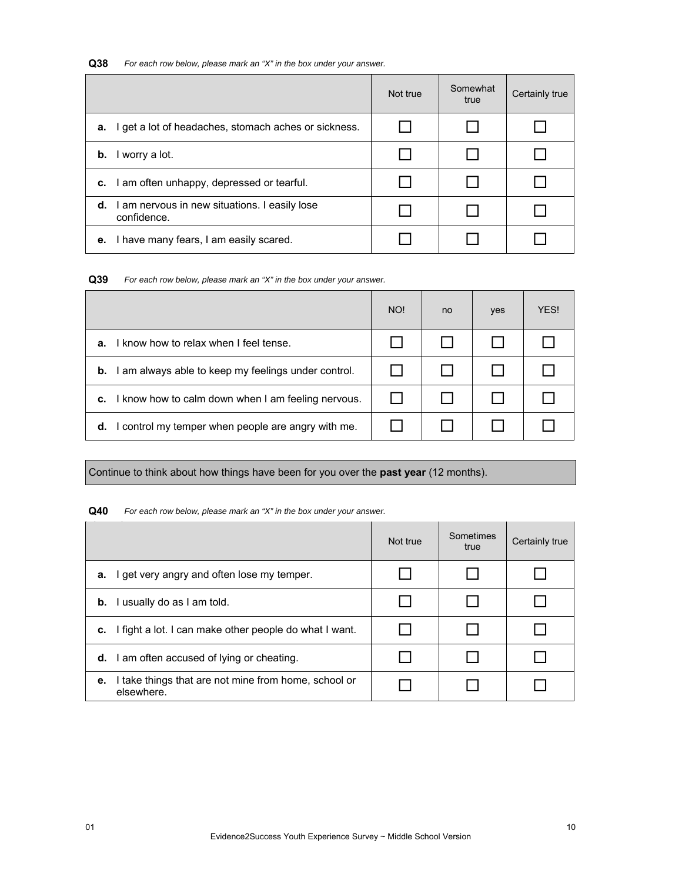# **Q38** *For each row below, please mark an "X" in the box under your answer.*

|                                                                        | Not true | Somewhat<br>true | Certainly true |
|------------------------------------------------------------------------|----------|------------------|----------------|
| get a lot of headaches, stomach aches or sickness.<br>а.               |          |                  |                |
| I worry a lot.<br>b.                                                   |          |                  |                |
| c. I am often unhappy, depressed or tearful.                           |          |                  |                |
| <b>d.</b> I am nervous in new situations. I easily lose<br>confidence. |          |                  |                |
| e. I have many fears, I am easily scared.                              |          |                  |                |

**Q39** *For each row below, please mark an "X" in the box under your answer.*

|                                                          | NO! | no | yes | YES! |
|----------------------------------------------------------|-----|----|-----|------|
| I know how to relax when I feel tense.<br>а.             |     |    |     |      |
| am always able to keep my feelings under control.<br>b.  |     |    |     |      |
| I know how to calm down when I am feeling nervous.<br>c. |     |    |     |      |
| control my temper when people are angry with me.<br>d.   |     |    |     |      |

# Continue to think about how things have been for you over the **past year** (12 months).

#### **Q40** *For each row below, please mark an "X" in the box under your answer.*

|                                                                          | Not true | Sometimes<br>true | Certainly true |
|--------------------------------------------------------------------------|----------|-------------------|----------------|
| I get very angry and often lose my temper.<br>а.                         |          |                   |                |
| I usually do as I am told.<br>b.                                         |          |                   |                |
| I fight a lot. I can make other people do what I want.<br>c.             |          |                   |                |
| <b>d.</b> I am often accused of lying or cheating.                       |          |                   |                |
| I take things that are not mine from home, school or<br>е.<br>elsewhere. |          |                   |                |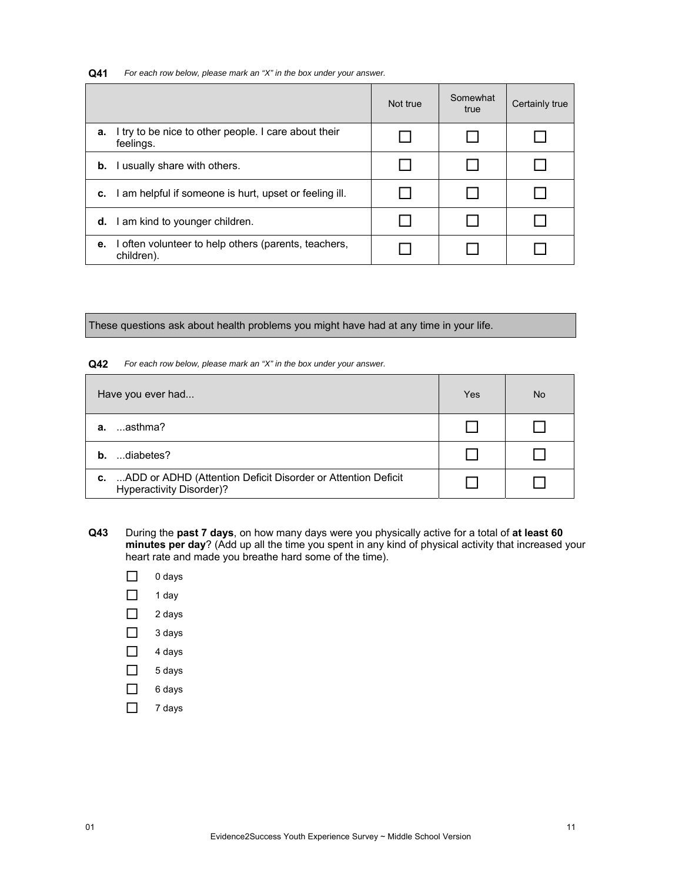**Q41** *For each row below, please mark an "X" in the box under your answer.*

|    |                                                                    | Not true | Somewhat<br>true | Certainly true |
|----|--------------------------------------------------------------------|----------|------------------|----------------|
| а. | I try to be nice to other people. I care about their<br>feelings.  |          |                  |                |
|    | <b>b.</b> I usually share with others.                             |          |                  |                |
| c. | I am helpful if someone is hurt, upset or feeling ill.             |          |                  |                |
|    | <b>d.</b> I am kind to younger children.                           |          |                  |                |
| е. | I often volunteer to help others (parents, teachers,<br>children). |          |                  |                |

These questions ask about health problems you might have had at any time in your life.

# **Q42** *For each row below, please mark an "X" in the box under your answer.*

| Have you ever had                                                                              | Yes | No. |
|------------------------------------------------------------------------------------------------|-----|-----|
| …asthma?<br>а.                                                                                 |     |     |
| diabetes?<br>h.                                                                                |     |     |
| ADD or ADHD (Attention Deficit Disorder or Attention Deficit<br>c.<br>Hyperactivity Disorder)? |     |     |

- **Q43** During the **past 7 days**, on how many days were you physically active for a total of **at least 60 minutes per day**? (Add up all the time you spent in any kind of physical activity that increased your heart rate and made you breathe hard some of the time).
	- $\Box$  0 days
	- $\Box$  1 day
	- $2 \text{ days}$
	- $\Box$  3 days
	- $\Box$  4 days
	- $\Box$  5 days
	- $\Box$  6 days
	- $\Box$  7 days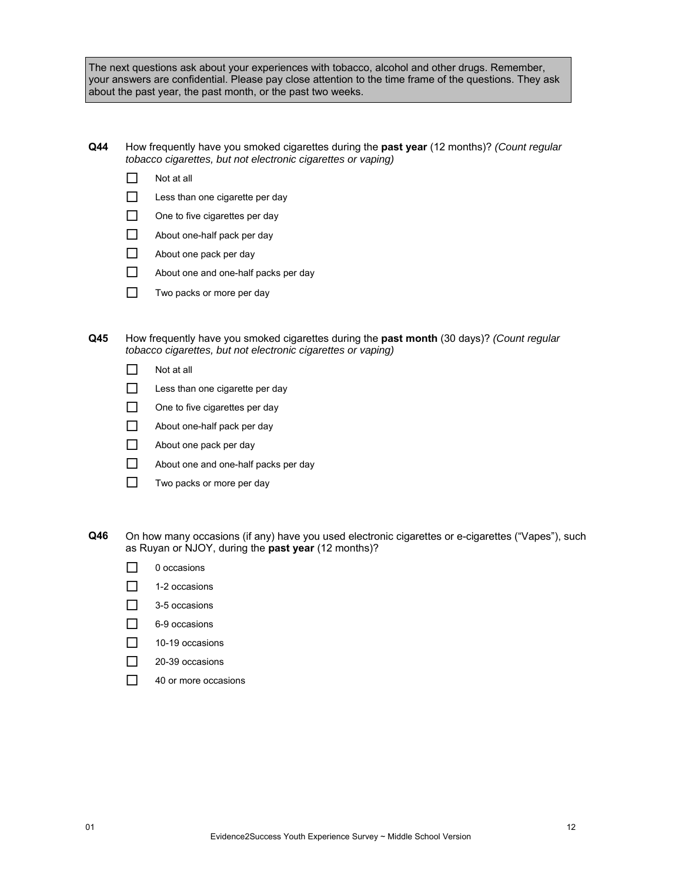The next questions ask about your experiences with tobacco, alcohol and other drugs. Remember, your answers are confidential. Please pay close attention to the time frame of the questions. They ask about the past year, the past month, or the past two weeks.

- **Q44** How frequently have you smoked cigarettes during the **past year** (12 months)? *(Count regular tobacco cigarettes, but not electronic cigarettes or vaping)*
	- $\Box$  Not at all
	- $\Box$  Less than one cigarette per day
	- $\Box$  One to five cigarettes per day
	- About one-half pack per day
	- About one pack per day
	- $\Box$  About one and one-half packs per day
	- $\Box$  Two packs or more per day
- **Q45** How frequently have you smoked cigarettes during the **past month** (30 days)? *(Count regular tobacco cigarettes, but not electronic cigarettes or vaping)*
	- $\Box$  Not at all
	- $\Box$  Less than one cigarette per day
	- One to five cigarettes per day
	- About one-half pack per day
	- About one pack per day
	- About one and one-half packs per day
	- $\Box$  Two packs or more per day
- **Q46** On how many occasions (if any) have you used electronic cigarettes or e-cigarettes ("Vapes"), such as Ruyan or NJOY, during the **past year** (12 months)?
	- $\Box$  0 occasions
	- $\Box$  1-2 occasions
	- $\Box$  3-5 occasions
	- 6-9 occasions
	- $10-19$  occasions
	- □ 20-39 occasions
	- □ 40 or more occasions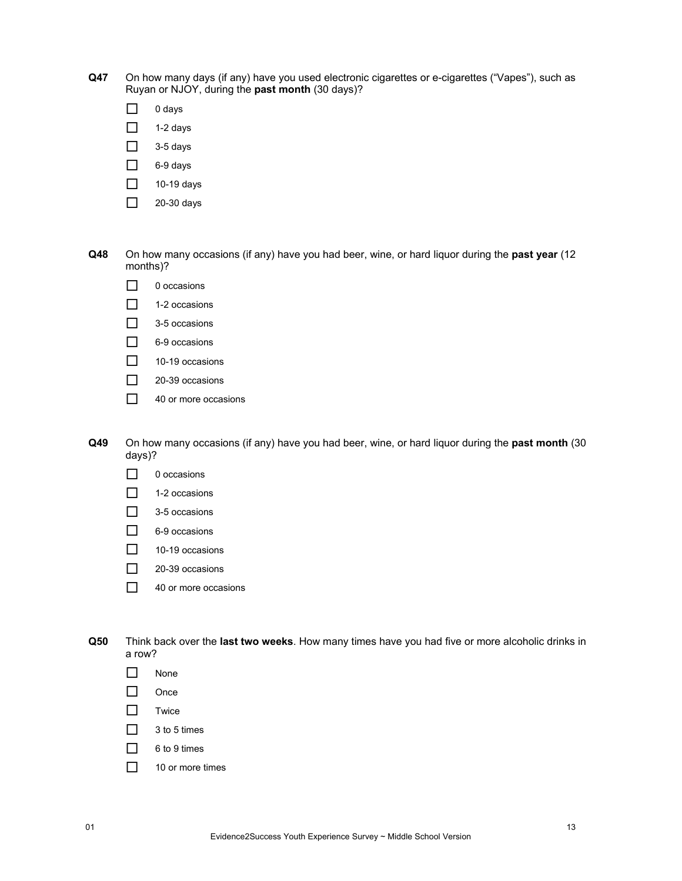- **Q47** On how many days (if any) have you used electronic cigarettes or e-cigarettes ("Vapes"), such as Ruyan or NJOY, during the **past month** (30 days)?
	- $\Box$  0 days
	- $\Box$  1-2 days
	- $\Box$  3-5 days
	- $\Box$  6-9 days
	- $\Box$  10-19 days
	- $\Box$  20-30 days
- **Q48** On how many occasions (if any) have you had beer, wine, or hard liquor during the **past year** (12 months)?
	- $\Box$  0 occasions
	- $\Box$  1-2 occasions
	- $\Box$  3-5 occasions
	- □ 6-9 occasions
	- $\Box$  10-19 occasions
	- 20-39 occasions
	- □ 40 or more occasions
- **Q49** On how many occasions (if any) have you had beer, wine, or hard liquor during the **past month** (30 days)?
	- $\Box$  0 occasions
	- $\Box$  1-2 occasions
	- $\Box$  3-5 occasions
	- □ 6-9 occasions
	- $\Box$  10-19 occasions
	- □ 20-39 occasions
	- 40 or more occasions

**Q50** Think back over the **last two weeks**. How many times have you had five or more alcoholic drinks in a row?

- □ None
- $\Box$  Once
- $\Box$  Twice
- $\Box$  3 to 5 times
- $\Box$  6 to 9 times
- $\Box$  10 or more times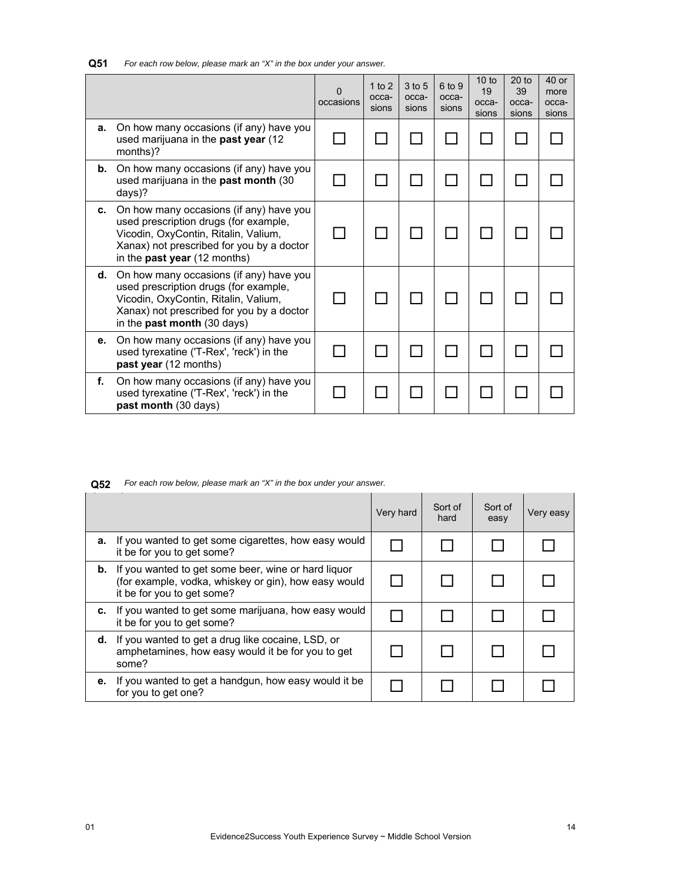| Q51 | For each row below, please mark an "X" in the box under your answer. |
|-----|----------------------------------------------------------------------|
|-----|----------------------------------------------------------------------|

|    |                                                                                                                                                                                                              | 0<br>occasions | 1 to $2$<br>occa-<br>sions | 3 to 5<br>occa-<br>sions | 6 to 9<br>occa-<br>sions | 10 <sub>to</sub><br>19<br>occa-<br>sions | $20$ to<br>39<br>occa-<br>sions | $40$ or<br>more<br>occa-<br>sions |
|----|--------------------------------------------------------------------------------------------------------------------------------------------------------------------------------------------------------------|----------------|----------------------------|--------------------------|--------------------------|------------------------------------------|---------------------------------|-----------------------------------|
| a. | On how many occasions (if any) have you<br>used marijuana in the past year (12<br>months)?                                                                                                                   |                |                            |                          |                          |                                          |                                 |                                   |
| b. | On how many occasions (if any) have you<br>used marijuana in the past month (30<br>days)?                                                                                                                    |                |                            |                          |                          |                                          |                                 |                                   |
| c. | On how many occasions (if any) have you<br>used prescription drugs (for example,<br>Vicodin, OxyContin, Ritalin, Valium,<br>Xanax) not prescribed for you by a doctor<br>in the <b>past year</b> (12 months) |                |                            |                          |                          |                                          |                                 |                                   |
| d. | On how many occasions (if any) have you<br>used prescription drugs (for example,<br>Vicodin, OxyContin, Ritalin, Valium,<br>Xanax) not prescribed for you by a doctor<br>in the past month (30 days)         |                |                            |                          |                          |                                          |                                 |                                   |
| е. | On how many occasions (if any) have you<br>used tyrexatine ('T-Rex', 'reck') in the<br>past year (12 months)                                                                                                 |                |                            |                          |                          |                                          |                                 |                                   |
| f. | On how many occasions (if any) have you<br>used tyrexatine ('T-Rex', 'reck') in the<br>past month (30 days)                                                                                                  |                |                            |                          |                          |                                          |                                 |                                   |

|    |                                                                                                                                                     | Very hard | Sort of<br>hard | Sort of<br>easy | Very easy |
|----|-----------------------------------------------------------------------------------------------------------------------------------------------------|-----------|-----------------|-----------------|-----------|
| a. | If you wanted to get some cigarettes, how easy would<br>it be for you to get some?                                                                  |           |                 |                 |           |
|    | <b>b.</b> If you wanted to get some beer, wine or hard liquor<br>(for example, vodka, whiskey or gin), how easy would<br>it be for you to get some? |           |                 |                 |           |
| c. | If you wanted to get some marijuana, how easy would<br>it be for you to get some?                                                                   |           |                 |                 |           |
| d. | If you wanted to get a drug like cocaine, LSD, or<br>amphetamines, how easy would it be for you to get<br>some?                                     |           |                 |                 |           |
| е. | If you wanted to get a handgun, how easy would it be<br>for you to get one?                                                                         |           |                 |                 |           |

**Q52** *For each row below, please mark an "X" in the box under your answer.*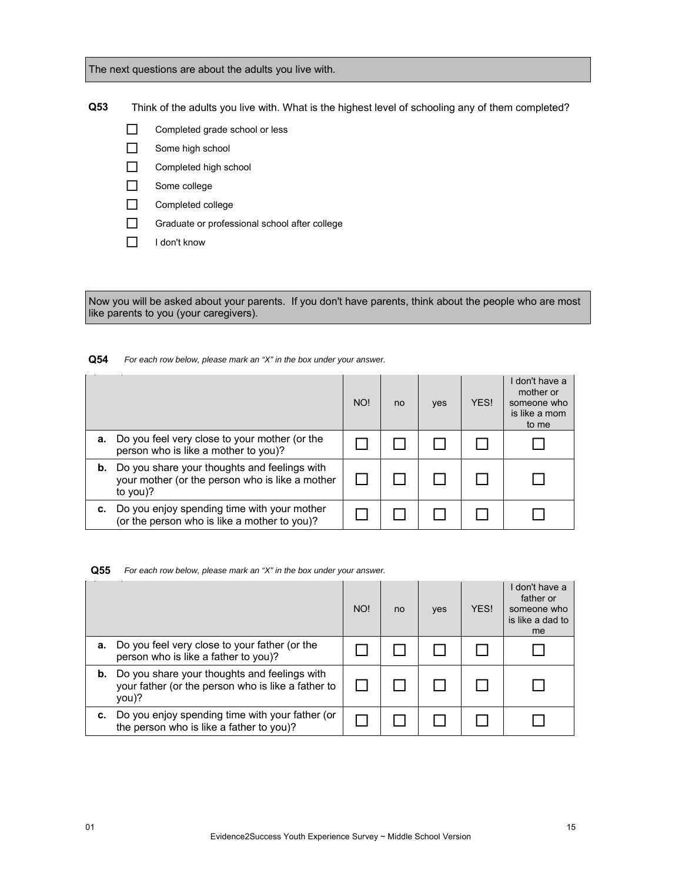The next questions are about the adults you live with.

**Q53** Think of the adults you live with. What is the highest level of schooling any of them completed?

- Completed grade school or less
- Some high school
- Completed high school
- Some college
- Completed college
- Graduate or professional school after college
- I don't know

Now you will be asked about your parents. If you don't have parents, think about the people who are most like parents to you (your caregivers).

# **Q54** *For each row below, please mark an "X" in the box under your answer.*

|    |                                                                                                             | NO! | no | yes | YES! | I don't have a<br>mother or<br>someone who<br>is like a mom<br>to me |
|----|-------------------------------------------------------------------------------------------------------------|-----|----|-----|------|----------------------------------------------------------------------|
| а. | Do you feel very close to your mother (or the<br>person who is like a mother to you)?                       |     |    |     |      |                                                                      |
| b. | Do you share your thoughts and feelings with<br>your mother (or the person who is like a mother<br>to you)? |     |    |     |      |                                                                      |
|    | Do you enjoy spending time with your mother<br>(or the person who is like a mother to you)?                 |     |    |     |      |                                                                      |

**Q55** *For each row below, please mark an "X" in the box under your answer.*

|    |                                                                                                             | NO! | no | yes | YES! | I don't have a<br>father or<br>someone who<br>is like a dad to<br>me |
|----|-------------------------------------------------------------------------------------------------------------|-----|----|-----|------|----------------------------------------------------------------------|
| а. | Do you feel very close to your father (or the<br>person who is like a father to you)?                       |     |    |     |      |                                                                      |
| b. | Do you share your thoughts and feelings with<br>your father (or the person who is like a father to<br>you)? |     |    |     |      |                                                                      |
| с. | Do you enjoy spending time with your father (or<br>the person who is like a father to you)?                 |     |    |     |      |                                                                      |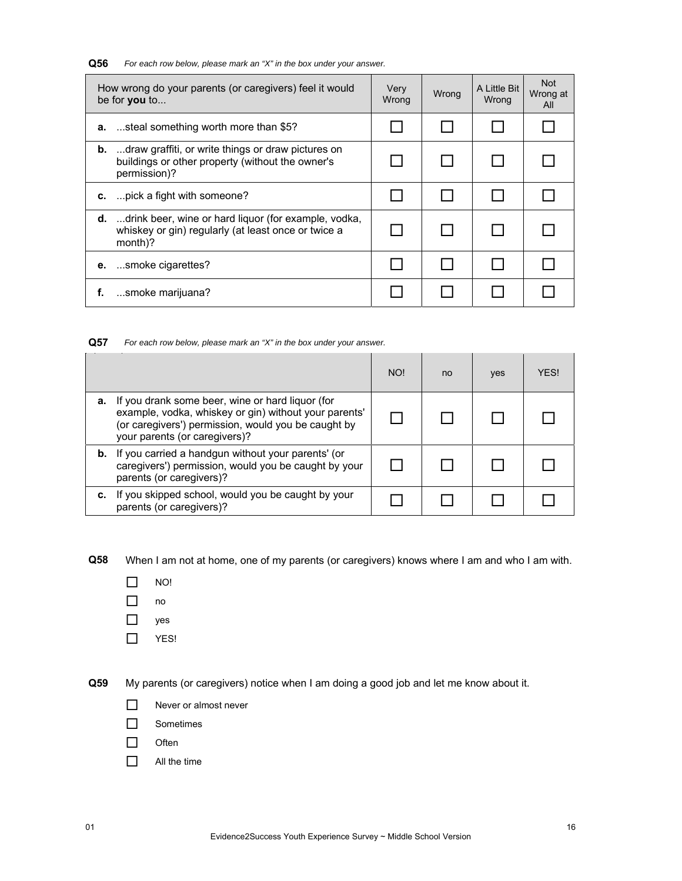**Q56** *For each row below, please mark an "X" in the box under your answer.*

| How wrong do your parents (or caregivers) feel it would<br>be for you to |                                                                                                                                  | Very<br>Wrong | Wrong | A Little Bit<br>Wrong | <b>Not</b><br>Wrong at<br>All |
|--------------------------------------------------------------------------|----------------------------------------------------------------------------------------------------------------------------------|---------------|-------|-----------------------|-------------------------------|
|                                                                          | <b>a.</b> steal something worth more than \$5?                                                                                   |               |       |                       |                               |
|                                                                          | <b>b.</b> draw graffiti, or write things or draw pictures on<br>buildings or other property (without the owner's<br>permission)? |               |       |                       |                               |
|                                                                          | c.  pick a fight with someone?                                                                                                   |               |       |                       |                               |
|                                                                          | <b>d.</b> drink beer, wine or hard liquor (for example, vodka,<br>whiskey or gin) regularly (at least once or twice a<br>month)? |               |       |                       |                               |
| е.                                                                       | smoke cigarettes?                                                                                                                |               |       |                       |                               |
| f.                                                                       | smoke marijuana?                                                                                                                 |               |       |                       |                               |

**Q57** *For each row below, please mark an "X" in the box under your answer.*

|    |                                                                                                                                                                                                   | NO! | no | yes | <b>YFS!</b> |
|----|---------------------------------------------------------------------------------------------------------------------------------------------------------------------------------------------------|-----|----|-----|-------------|
| а. | If you drank some beer, wine or hard liquor (for<br>example, vodka, whiskey or gin) without your parents'<br>(or caregivers') permission, would you be caught by<br>your parents (or caregivers)? |     |    |     |             |
|    | <b>b.</b> If you carried a handgun without your parents' (or<br>caregivers') permission, would you be caught by your<br>parents (or caregivers)?                                                  |     |    |     |             |
|    | If you skipped school, would you be caught by your<br>parents (or caregivers)?                                                                                                                    |     |    |     |             |

**Q58** When I am not at home, one of my parents (or caregivers) knows where I am and who I am with.

- $\Box$  NO!
- no
- □ yes
- $\Box$  YES!

**Q59** My parents (or caregivers) notice when I am doing a good job and let me know about it.

- Never or almost never
- □ Sometimes
- $\Box$  Often
- $\Box$  All the time

 $\overline{a}$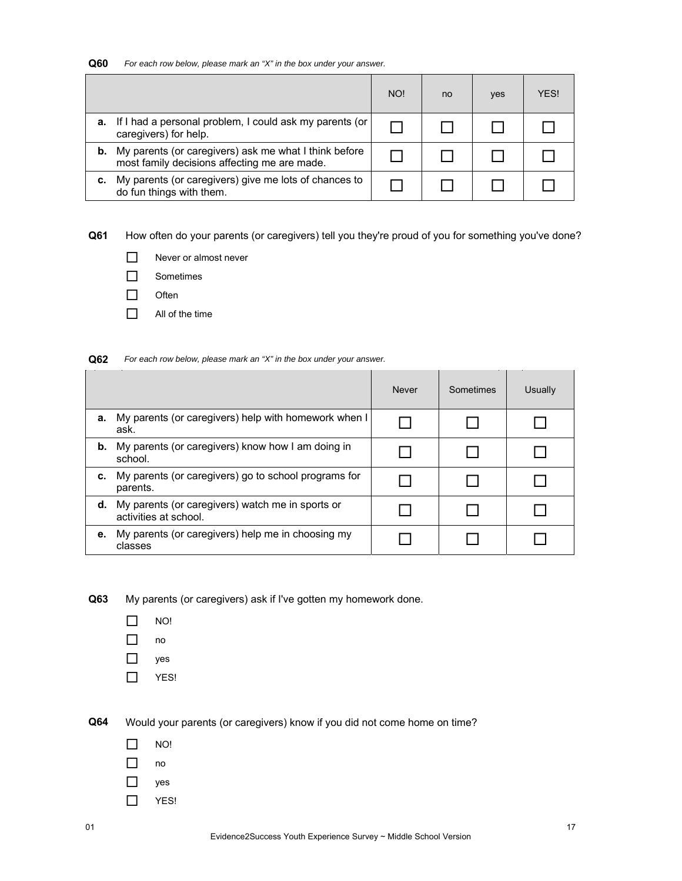| Q60 | For each row below, please mark an "X" in the box under your answer. |  |  |  |
|-----|----------------------------------------------------------------------|--|--|--|
|-----|----------------------------------------------------------------------|--|--|--|

|    |                                                                                                       | NO! | no | yes | <b>YFS!</b> |
|----|-------------------------------------------------------------------------------------------------------|-----|----|-----|-------------|
| а. | If I had a personal problem, I could ask my parents (or<br>caregivers) for help.                      |     |    |     |             |
| b. | My parents (or caregivers) ask me what I think before<br>most family decisions affecting me are made. |     |    |     |             |
|    | My parents (or caregivers) give me lots of chances to<br>do fun things with them.                     |     |    |     |             |

**Q61** How often do your parents (or caregivers) tell you they're proud of you for something you've done?

- Never or almost never
- □ Sometimes
- $\Box$  Often
- $\Box$  All of the time

**Q62** *For each row below, please mark an "X" in the box under your answer.*

|    |                                                                           | <b>Never</b> | Sometimes | Usually |
|----|---------------------------------------------------------------------------|--------------|-----------|---------|
| а. | My parents (or caregivers) help with homework when I<br>ask.              |              |           |         |
| b. | My parents (or caregivers) know how I am doing in<br>school.              |              |           |         |
| c. | My parents (or caregivers) go to school programs for<br>parents.          |              |           |         |
| d. | My parents (or caregivers) watch me in sports or<br>activities at school. |              |           |         |
| е. | My parents (or caregivers) help me in choosing my<br>classes              |              |           |         |

**Q63** My parents (or caregivers) ask if I've gotten my homework done.

- $\Box$  NO!
- $\Box$  no
- yes
- $\Box$  YES!

**Q64** Would your parents (or caregivers) know if you did not come home on time?

- $\Box$  NO!
- $\Box$  no
- □ yes
- $\Box$  YES!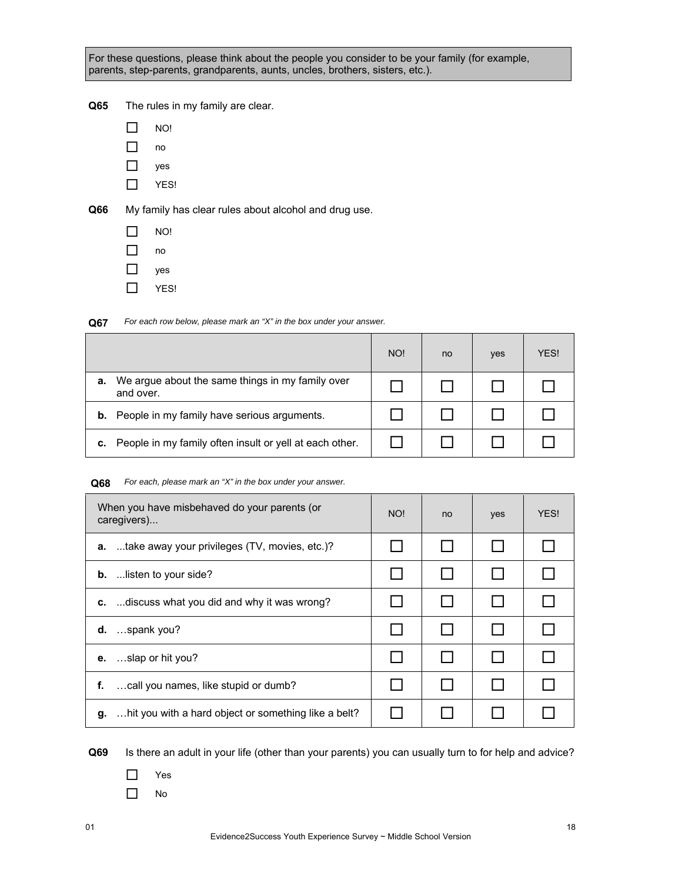For these questions, please think about the people you consider to be your family (for example, parents, step-parents, grandparents, aunts, uncles, brothers, sisters, etc.).

**Q65** The rules in my family are clear.

| ימא    |
|--------|
| O<br>г |

- $\Box$  yes
- $\Box$  YES!

**Q66** My family has clear rules about alcohol and drug use.

- $\Box$  NO!
- $\Box$  no  $\Box$  yes
- $\Box$  YES!

**Q67** *For each row below, please mark an "X" in the box under your answer.*

|    |                                                               | NO! | no | yes | <b>YFS!</b> |
|----|---------------------------------------------------------------|-----|----|-----|-------------|
| а. | We argue about the same things in my family over<br>and over. |     |    |     |             |
| b. | People in my family have serious arguments.                   |     |    |     |             |
| с. | People in my family often insult or yell at each other.       |     |    |     |             |

# **Q68** *For each, please mark an "X" in the box under your answer.*

| When you have misbehaved do your parents (or<br>caregivers) | NO! | no | yes | YES! |
|-------------------------------------------------------------|-----|----|-----|------|
| take away your privileges (TV, movies, etc.)?<br>а.         |     |    |     |      |
| <b>b.</b> listen to your side?                              |     |    |     |      |
| c.  discuss what you did and why it was wrong?              |     |    |     |      |
| $d.$ spank you?                                             |     |    |     |      |
| <b>e.</b> slap or hit you?                                  |     |    |     |      |
| call you names, like stupid or dumb?<br>f.                  |     |    |     |      |
| g.  hit you with a hard object or something like a belt?    |     |    |     |      |

- Yes
- No

**Q69** Is there an adult in your life (other than your parents) you can usually turn to for help and advice?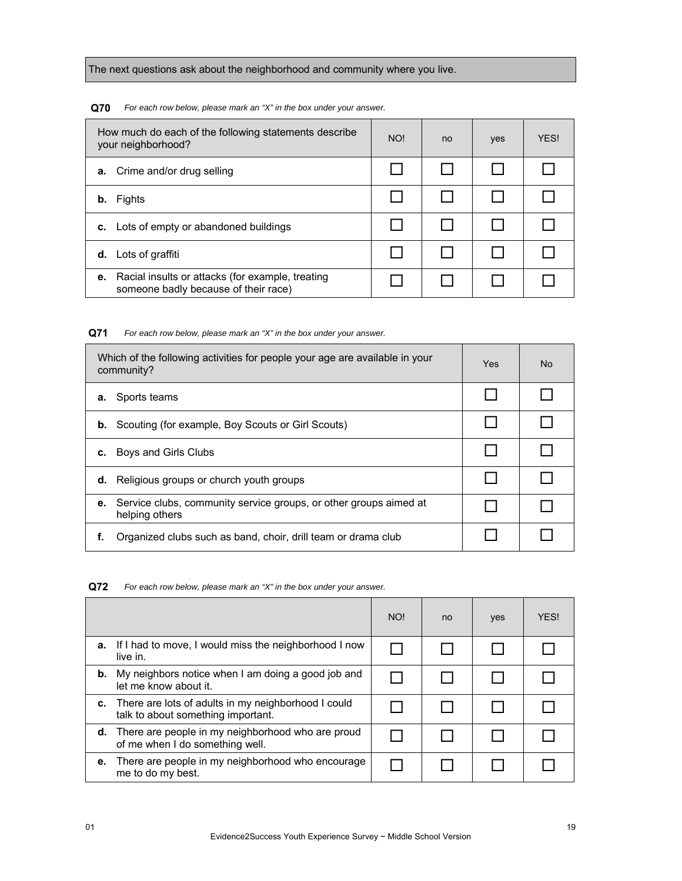The next questions ask about the neighborhood and community where you live.

**Q70** *For each row below, please mark an "X" in the box under your answer.*

| How much do each of the following statements describe<br>your neighborhood?                    | NO! | no | yes | YES! |
|------------------------------------------------------------------------------------------------|-----|----|-----|------|
| Crime and/or drug selling<br>а.                                                                |     |    |     |      |
| Fights<br>b.                                                                                   |     |    |     |      |
| c. Lots of empty or abandoned buildings                                                        |     |    |     |      |
| <b>d.</b> Lots of graffiti                                                                     |     |    |     |      |
| Racial insults or attacks (for example, treating<br>е.<br>someone badly because of their race) |     |    |     |      |

**Q71** *For each row below, please mark an "X" in the box under your answer.*

| Which of the following activities for people your age are available in your<br>community? |  | No. |
|-------------------------------------------------------------------------------------------|--|-----|
| Sports teams<br>а.                                                                        |  |     |
| <b>b.</b> Scouting (for example, Boy Scouts or Girl Scouts)                               |  |     |
| Boys and Girls Clubs<br>c.                                                                |  |     |
| Religious groups or church youth groups<br>d.                                             |  |     |
| Service clubs, community service groups, or other groups aimed at<br>е.<br>helping others |  |     |
| Organized clubs such as band, choir, drill team or drama club                             |  |     |

**Q72** *For each row below, please mark an "X" in the box under your answer.*

|    |                                                                                                | NO! | no | yes | <b>YFS!</b> |
|----|------------------------------------------------------------------------------------------------|-----|----|-----|-------------|
| а. | If I had to move, I would miss the neighborhood I now<br>live in.                              |     |    |     |             |
| b. | My neighbors notice when I am doing a good job and<br>let me know about it.                    |     |    |     |             |
|    | c. There are lots of adults in my neighborhood I could<br>talk to about something important.   |     |    |     |             |
|    | <b>d.</b> There are people in my neighborhood who are proud<br>of me when I do something well. |     |    |     |             |
| е. | There are people in my neighborhood who encourage<br>me to do my best.                         |     |    |     |             |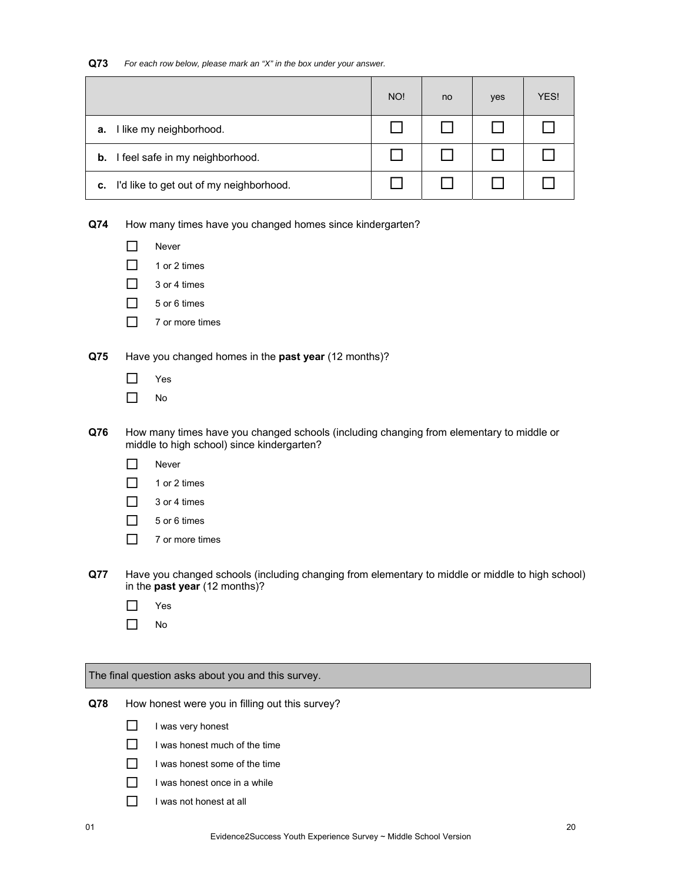| Q73 | For each row below, please mark an "X" in the box under your answer. |  |  |  |
|-----|----------------------------------------------------------------------|--|--|--|
|-----|----------------------------------------------------------------------|--|--|--|

|    |                                            | NO! | no | yes | YES! |
|----|--------------------------------------------|-----|----|-----|------|
| а. | I like my neighborhood.                    |     |    |     |      |
|    | <b>b.</b> I feel safe in my neighborhood.  |     |    |     |      |
|    | c. I'd like to get out of my neighborhood. |     |    |     |      |

**Q74** How many times have you changed homes since kindergarten?

| Never |
|-------|
|-------|

- $\Box$  1 or 2 times
- $\Box$  3 or 4 times
- $\Box$  5 or 6 times
- $\Box$  7 or more times

**Q75** Have you changed homes in the **past year** (12 months)?

- Yes
- $\Box$  No
- **Q76** How many times have you changed schools (including changing from elementary to middle or middle to high school) since kindergarten?
	- **Never**
	- $\Box$  1 or 2 times
	- $\Box$  3 or 4 times
	- $\Box$  5 or 6 times
	- $\Box$  7 or more times
- **Q77** Have you changed schools (including changing from elementary to middle or middle to high school) in the **past year** (12 months)?
	- Yes
	- $\Box$  No

The final question asks about you and this survey.

**Q78** How honest were you in filling out this survey?

- $\Box$  I was very honest
- $\Box$  I was honest much of the time
- $\Box$  I was honest some of the time
- $\Box$  I was honest once in a while
- $\Box$  I was not honest at all